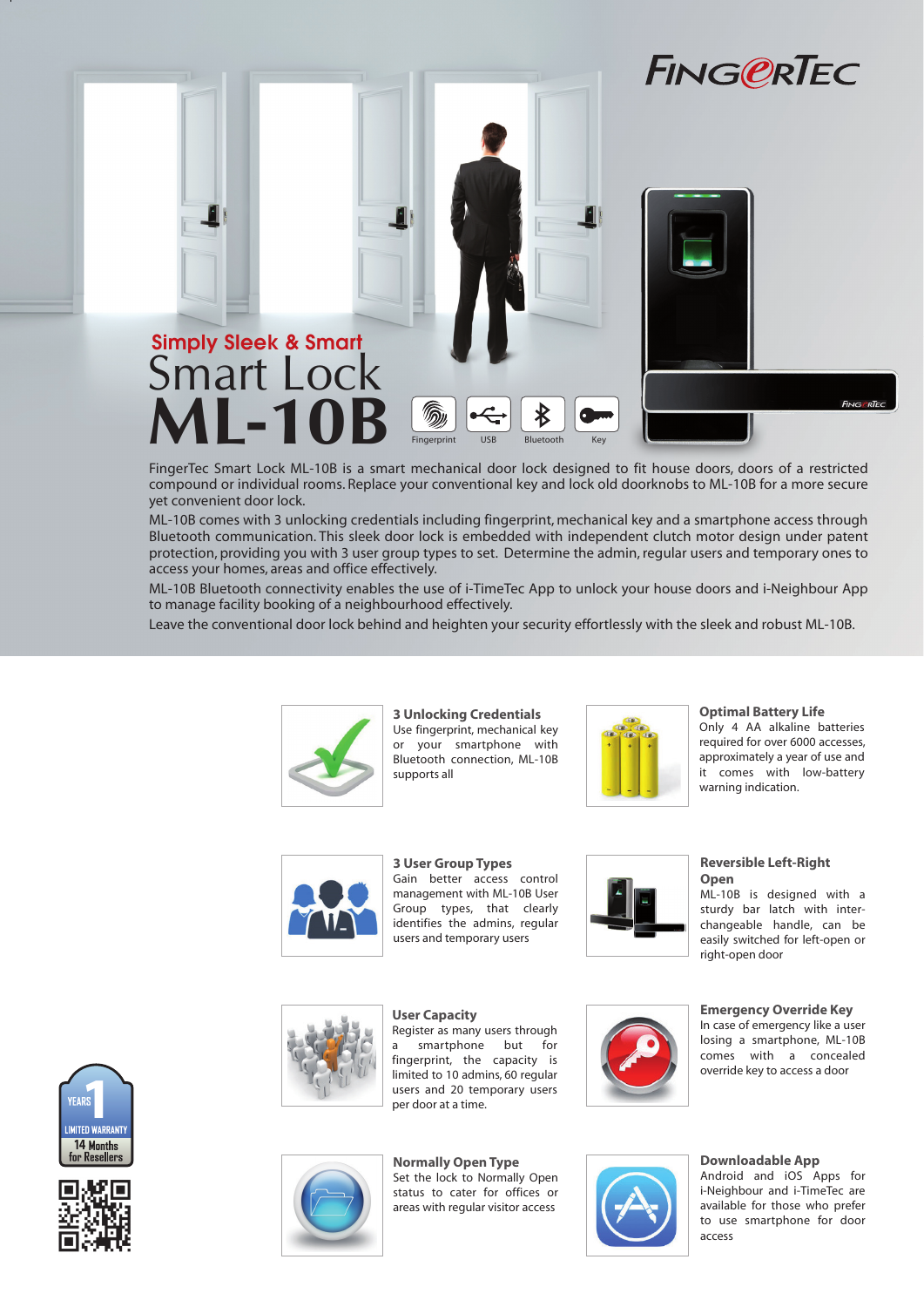





FingerTec Smart Lock ML-10B is a smart mechanical door lock designed to fit house doors, doors of a restricted compound or individual rooms. Replace your conventional key and lock old doorknobs to ML-10B for a more secure yet convenient door lock.

Fingerprint USB Bluetooth Key

Bluetooth

ML-10B comes with 3 unlocking credentials including fingerprint, mechanical key and a smartphone access through Bluetooth communication. This sleek door lock is embedded with independent clutch motor design under patent protection, providing you with 3 user group types to set. Determine the admin, regular users and temporary ones to access your homes, areas and office effectively.

ML-10B Bluetooth connectivity enables the use of i-TimeTec App to unlock your house doors and i-Neighbour App to manage facility booking of a neighbourhood effectively.

Leave the conventional door lock behind and heighten your security effortlessly with the sleek and robust ML-10B.



**3 Unlocking Credentials** Use fingerprint, mechanical key or your smartphone with Bluetooth connection, ML-10B supports all



**Optimal Battery Life**

Only 4 AA alkaline batteries required for over 6000 accesses, approximately a year of use and it comes with low-battery warning indication.



**3 User Group Types** Gain better access control management with ML-10B User Group types, that clearly identifies the admins, regular users and temporary users



**Reversible Left-Right Open** ML-10B is designed with a

sturdy bar latch with interchangeable handle, can be easily switched for left-open or right-open door



**User Capacity** Register as many users through smartphone but for fingerprint, the capacity is limited to 10 admins, 60 regular users and 20 temporary users per door at a time.

**Normally Open Type** Set the lock to Normally Open status to cater for offices or areas with regular visitor access



## override key to access a door

**Emergency Override Key** In case of emergency like a user losing a smartphone, ML-10B comes with a concealed

### **Downloadable App**

Android and iOS Apps for i-Neighbour and i-TimeTec are available for those who prefer to use smartphone for door access